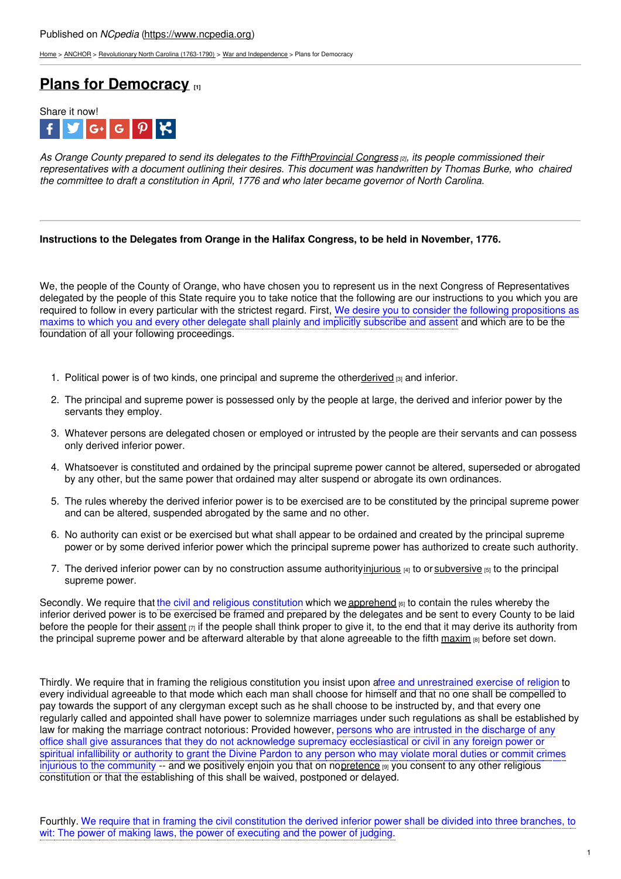[Home](https://www.ncpedia.org/) > [ANCHOR](https://www.ncpedia.org/anchor/anchor) > [Revolutionary](https://www.ncpedia.org/anchor/revolutionary-north-carolina) North Carolina (1763-1790) > War and [Independence](https://www.ncpedia.org/anchor/war-and-independence) > Plans for Democracy

# **Plans for [Democracy](https://www.ncpedia.org/anchor/plans-democracy) [1]**



As Orange County prepared to send its delegates to the Fift[hProvincial](https://www.ncpedia.org/provincial-congresses) Congress [2], its people commissioned their representatives with a document outlining their desires. This document was handwritten by Thomas Burke, who chaired *the committee to draft a constitution in April, 1776 and who later became governor of North Carolina.*

## **Instructions to the Delegates from Orange in the Halifax Congress, to be held in November, 1776.**

We, the people of the County of Or[ange,](http://www.social9.com) who have chosen you to represent us in the next Congress of Representatives delegated by the people of this State require you to take notice that the following are our instructions to you which you are required to follow in every particular with the strictest regard. First, We desire you to consider the following propositions as maxims to which you and every other delegate shall plainly and implicitly subscribe and assent and which are to be the foundation of all your following proceedings.

- 1. Political power is of two kinds, one principal and supreme the other[derived](https://www.ncpedia.org/glossary/derive) [3] and inferior.
- 2. The principal and supreme power is possessed only by the people at large, the derived and inferior power by the servants they employ.
- 3. Whatever persons are delegated chosen or employed or intrusted by the people are their servants and can possess only derived inferior power.
- 4. Whatsoever is constituted and ordained by the principal supreme power cannot be altered, superseded or abrogated by any other, but the same power that ordained may alter suspend or abrogate its own ordinances.
- 5. The rules whereby the derived inferior power is to be exercised are to be constituted by the principal supreme power and can be altered, suspended abrogated by the same and no other.
- 6. No authority can exist or be exercised but what shall appear to be ordained and created by the principal supreme power or by some derived inferior power which the principal supreme power has authorized to create such authority.
- 7. The derived inferior power can by no construction assume authority[injurious](https://www.ncpedia.org/glossary/injurious) [4] to or [subversive](https://www.ncpedia.org/glossary/subversive) [5] to the principal supreme power.

Secondly. We require that the civil and religious constitution which we [apprehend](https://www.ncpedia.org/glossary/apprehend) [6] to contain the rules whereby the inferior derived power is to be exercised be framed and prepared by the delegates and be sent to every County to be laid before the people for their [assent](https://www.ncpedia.org/glossary/assent)  $\vert\eta\vert$  if the people shall think proper to give it, to the end that it may derive its authority from the principal supreme power and be afterward alterable by that alone agreeable to the fifth [maxim](https://www.ncpedia.org/glossary/maxim) [8] before set down.

Thirdly. We require that in framing the religious constitution you insist upon afree and unrestrained exercise of religion to every individual agreeable to that mode which each man shall choose for himself and that no one shall be compelled to pay towards the support of any clergyman except such as he shall choose to be instructed by, and that every one regularly called and appointed shall have power to solemnize marriages under such regulations as shall be established by law for making the marriage contract notorious: Provided however, persons who are intrusted in the discharge of any office shall give assurances that they do not acknowledge supremacy ecclesiastical or civil in any foreign power or spiritual infallibility or authority to grant the Divine Pardon to any person who may violate moral duties or commit crimes injurious to the community -- and we positively enjoin you that on n[opretence](https://www.ncpedia.org/glossary/pretence) [9] you consent to any other religious constitution or that the establishing of this shall be waived, postponed or delayed.

Fourthly. We require that in framing the civil constitution the derived inferior power shall be divided into three branches, to wit: The power of making laws, the power of executing and the power of judging.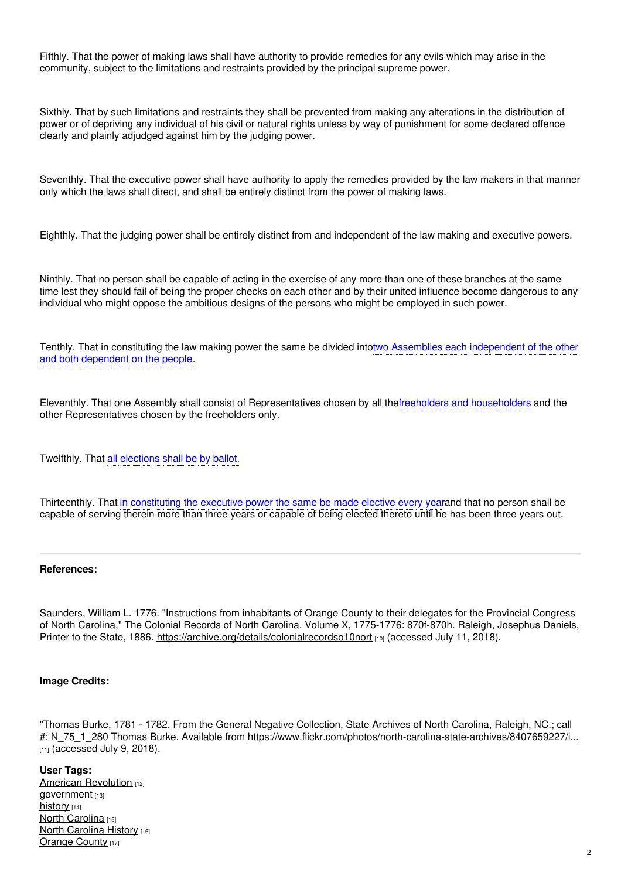Fifthly. That the power of making laws shall have authority to provide remedies for any evils which may arise in the community, subject to the limitations and restraints provided by the principal supreme power.

Sixthly. That by such limitations and restraints they shall be prevented from making any alterations in the distribution of power or of depriving any individual of his civil or natural rights unless by way of punishment for some declared offence clearly and plainly adjudged against him by the judging power.

Seventhly. That the executive power shall have authority to apply the remedies provided by the law makers in that manner only which the laws shall direct, and shall be entirely distinct from the power of making laws.

Eighthly. That the judging power shall be entirely distinct from and independent of the law making and executive powers.

Ninthly. That no person shall be capable of acting in the exercise of any more than one of these branches at the same time lest they should fail of being the proper checks on each other and by their united influence become dangerous to any individual who might oppose the ambitious designs of the persons who might be employed in such power.

Tenthly. That in constituting the law making power the same be divided intotwo Assemblies each independent of the other and both dependent on the people.

Eleventhly. That one Assembly shall consist of Representatives chosen by all thefreeholders and householders and the other Representatives chosen by the freeholders only.

Twelfthly. That all elections shall be by ballot.

Thirteenthly. That in constituting the executive power the same be made elective every yearand that no person shall be capable of serving therein more than three years or capable of being elected thereto until he has been three years out.

#### **References:**

Saunders, William L. 1776. "Instructions from inhabitants of Orange County to their delegates for the Provincial Congress of North Carolina," The Colonial Records of North Carolina. Volume X, 1775-1776: 870f-870h. Raleigh, Josephus Daniels, Printer to the State, 1886. <https://archive.org/details/colonialrecordso10nort> [10] (accessed July 11, 2018).

## **Image Credits:**

"Thomas Burke, 1781 - 1782. From the General Negative Collection, State Archives of North Carolina, Raleigh, NC.; call #: N\_75\_1\_280 Thomas Burke. Available from [https://www.flickr.com/photos/north-carolina-state-archives/8407659227/i...](https://www.flickr.com/photos/north-carolina-state-archives/8407659227/in/set-72157631785870204)  $[11]$  (accessed July 9, 2018).

### **User Tags:**

American [Revolution](https://www.ncpedia.org/category/user-tags/american) [12] [government](https://www.ncpedia.org/category/user-tags/government) [13] [history](https://www.ncpedia.org/category/user-tags/history) [14] North [Carolina](https://www.ncpedia.org/category/user-tags/north-carolina-5) [15] **North [Carolina](https://www.ncpedia.org/category/user-tags/north-carolina-6) History [16]** [Orange](https://www.ncpedia.org/category/user-tags/orange-county) County [17]